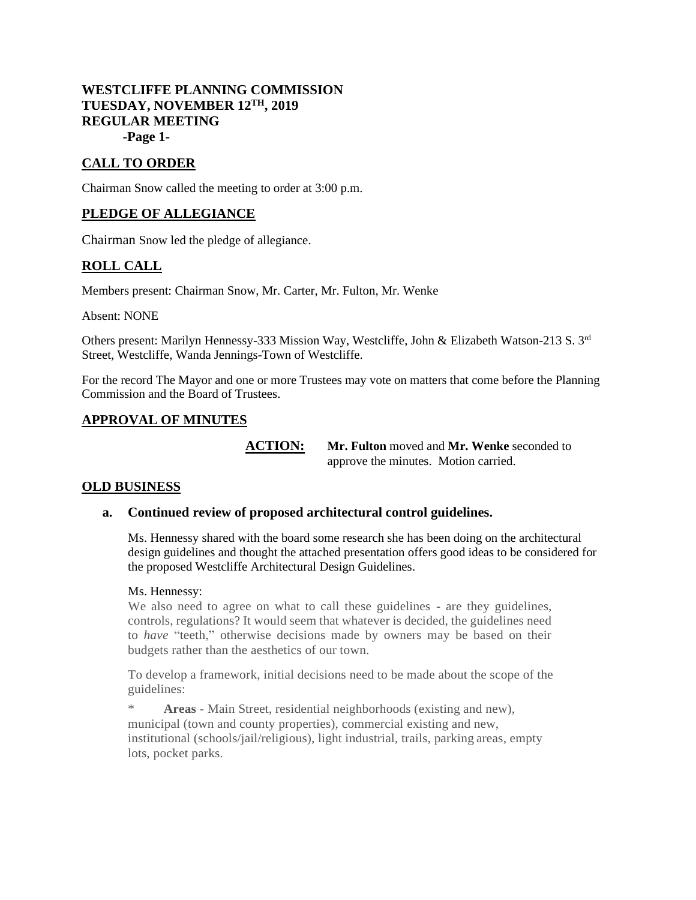### **WESTCLIFFE PLANNING COMMISSION TUESDAY, NOVEMBER 12TH, 2019 REGULAR MEETING -Page 1-**

# **CALL TO ORDER**

Chairman Snow called the meeting to order at 3:00 p.m.

# **PLEDGE OF ALLEGIANCE**

Chairman Snow led the pledge of allegiance.

### **ROLL CALL**

Members present: Chairman Snow, Mr. Carter, Mr. Fulton, Mr. Wenke

Absent: NONE

Others present: Marilyn Hennessy-333 Mission Way, Westcliffe, John & Elizabeth Watson-213 S. 3rd Street, Westcliffe, Wanda Jennings-Town of Westcliffe.

For the record The Mayor and one or more Trustees may vote on matters that come before the Planning Commission and the Board of Trustees.

### **APPROVAL OF MINUTES**

**ACTION: Mr. Fulton** moved and **Mr. Wenke** seconded to approve the minutes. Motion carried.

### **OLD BUSINESS**

### **a. Continued review of proposed architectural control guidelines.**

Ms. Hennessy shared with the board some research she has been doing on the architectural design guidelines and thought the attached presentation offers good ideas to be considered for the proposed Westcliffe Architectural Design Guidelines.

#### Ms. Hennessy:

We also need to agree on what to call these guidelines - are they guidelines, controls, regulations? It would seem that whatever is decided, the guidelines need to *have* "teeth," otherwise decisions made by owners may be based on their budgets rather than the aesthetics of our town.

To develop a framework, initial decisions need to be made about the scope of the guidelines:

Areas - Main Street, residential neighborhoods (existing and new), municipal (town and county properties), commercial existing and new, institutional (schools/jail/religious), light industrial, trails, parking areas, empty lots, pocket parks.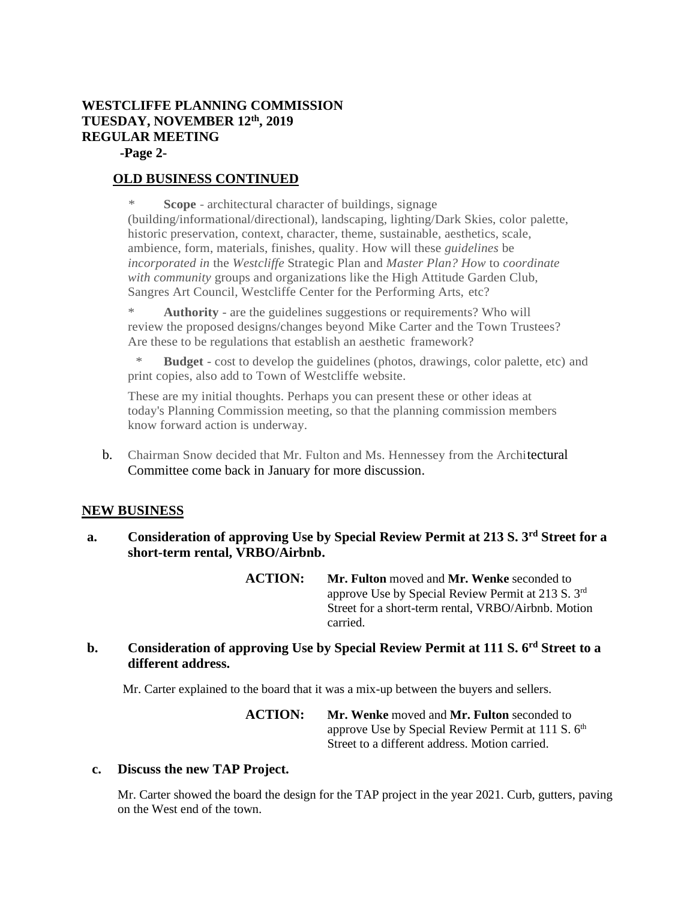# **WESTCLIFFE PLANNING COMMISSION TUESDAY, NOVEMBER 12th, 2019 REGULAR MEETING**

 **-Page 2-**

# **OLD BUSINESS CONTINUED**

\* **Scope** - architectural character of buildings, signage (building/informational/directional), landscaping, lighting/Dark Skies, color palette, historic preservation, context, character, theme, sustainable, aesthetics, scale, ambience, form, materials, finishes, quality. How will these *guidelines* be *incorporated in* the *Westcliffe* Strategic Plan and *Master Plan? How* to *coordinate with community* groups and organizations like the High Attitude Garden Club, Sangres Art Council, Westcliffe Center for the Performing Arts, etc?

Authority - are the guidelines suggestions or requirements? Who will review the proposed designs/changes beyond Mike Carter and the Town Trustees? Are these to be regulations that establish an aesthetic framework?

**Budget** - cost to develop the guidelines (photos, drawings, color palette, etc) and print copies, also add to Town of Westcliffe website.

These are my initial thoughts. Perhaps you can present these or other ideas at today's Planning Commission meeting, so that the planning commission members know forward action is underway.

b. Chairman Snow decided that Mr. Fulton and Ms. Hennessey from the Architectural Committee come back in January for more discussion.

# **NEW BUSINESS**

**a. Consideration of approving Use by Special Review Permit at 213 S. 3rd Street for a short-term rental, VRBO/Airbnb.**

> **ACTION: Mr. Fulton** moved and **Mr. Wenke** seconded to approve Use by Special Review Permit at 213 S. 3rd Street for a short-term rental, VRBO/Airbnb. Motion carried.

# **b. Consideration of approving Use by Special Review Permit at 111 S. 6rd Street to a different address.**

Mr. Carter explained to the board that it was a mix-up between the buyers and sellers.

**ACTION: Mr. Wenke** moved and **Mr. Fulton** seconded to approve Use by Special Review Permit at 111 S. 6<sup>th</sup> Street to a different address. Motion carried.

### **c. Discuss the new TAP Project.**

Mr. Carter showed the board the design for the TAP project in the year 2021. Curb, gutters, paving on the West end of the town.